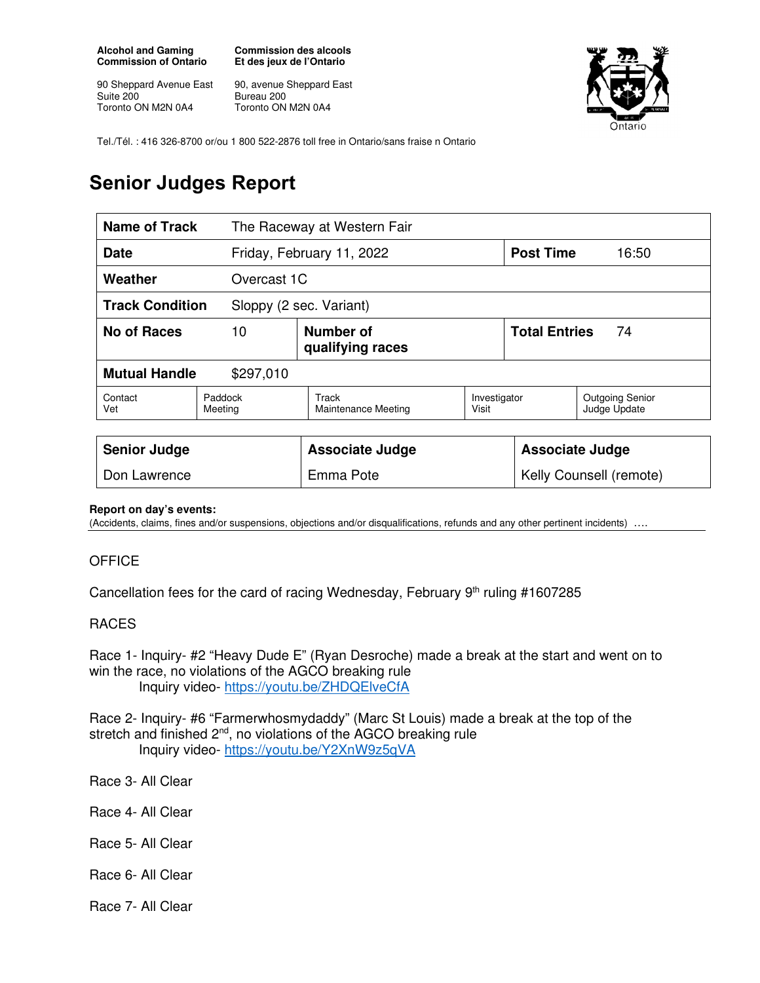**Alcohol and Gaming Commission of Ontario** 

90 Sheppard Avenue East Suite 200 Toronto ON M2N 0A4

**Commission des alcools Et des jeux de l'Ontario** 

90, avenue Sheppard East Bureau 200 Toronto ON M2N 0A4



Tel./Tél. : 416 326-8700 or/ou 1 800 522-2876 toll free in Ontario/sans fraise n Ontario

## **Senior Judges Report**

| <b>Name of Track</b>                              |                    | The Raceway at Western Fair          |                       |                            |                                        |  |
|---------------------------------------------------|--------------------|--------------------------------------|-----------------------|----------------------------|----------------------------------------|--|
| <b>Date</b>                                       |                    | Friday, February 11, 2022            |                       | <b>Post Time</b>           | 16:50                                  |  |
| Weather                                           |                    | Overcast 1C                          |                       |                            |                                        |  |
| <b>Track Condition</b><br>Sloppy (2 sec. Variant) |                    |                                      |                       |                            |                                        |  |
| <b>No of Races</b>                                | 10                 | <b>Number of</b><br>qualifying races |                       | <b>Total Entries</b><br>74 |                                        |  |
| <b>Mutual Handle</b><br>\$297,010                 |                    |                                      |                       |                            |                                        |  |
| Contact<br>Vet                                    | Paddock<br>Meeting | Track<br>Maintenance Meeting         | Investigator<br>Visit |                            | <b>Outgoing Senior</b><br>Judge Update |  |
|                                                   |                    |                                      |                       |                            |                                        |  |
| <b>Senior Judge</b>                               |                    | <b>Associate Judge</b>               |                       | <b>Associate Judge</b>     |                                        |  |
| Don Lawrence                                      |                    | Emma Pote                            |                       | Kelly Counsell (remote)    |                                        |  |

## **Report on day's events:**

(Accidents, claims, fines and/or suspensions, objections and/or disqualifications, refunds and any other pertinent incidents)

## **OFFICE**

Cancellation fees for the card of racing Wednesday, February  $9<sup>th</sup>$  ruling #1607285

## RACES

Race 1- Inquiry- #2 "Heavy Dude E" (Ryan Desroche) made a break at the start and went on to win the race, no violations of the AGCO breaking rule Inquiry video- https://youtu.be/ZHDQElveCfA

Race 2- Inquiry- #6 "Farmerwhosmydaddy" (Marc St Louis) made a break at the top of the stretch and finished 2<sup>nd</sup>, no violations of the AGCO breaking rule Inquiry video- https://youtu.be/Y2XnW9z5qVA

Race 3- All Clear

Race 4- All Clear

Race 5- All Clear

Race 6- All Clear

Race 7- All Clear